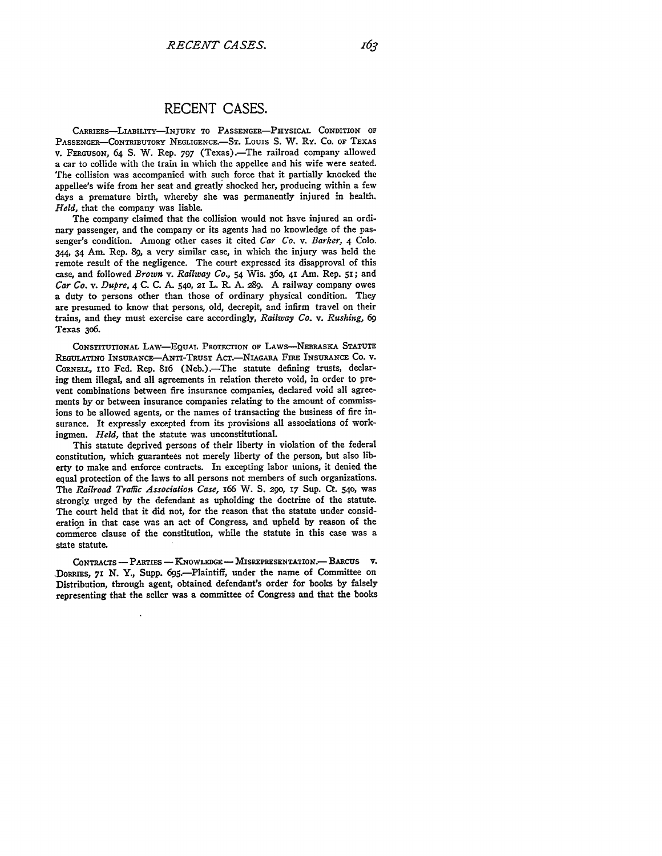## **RECENT CASES.**

**CARRIERs-LIABILITY-INJURY TO PASSENGER-PHYSICAL CONDITION OF' PASSENGER-CONTRmUTORY NEGLiGENCE.-ST. Louis** S. W. Ry. Co. OF **TEXAS** V. **FERGUSON,** 64 S. W. Rep. **797** (Texas).-The railroad company allowed a **car to** collide with the train in which the appellee and his wife were seated. The collision was accompanied with such force that it partially knocked the appellee's wife from her seat and greatly shocked her, producing within a few days a premature birth, whereby she was permanently injured in health. *Held,* that the company was liable.

The company claimed that the collision would not have injured an ordinary passenger, and the company or its agents had no knowledge of the passenger's condition. Among other cases it cited *Car Co. v. Barker,* 4 **Colo.** 344, 34 Am. Rep. **89,** a very similar case, in which the injury was held the remote result of the negligence. The court expressed its disapproval of this case, and followed *Brown v. Railway Co.,* 54 Wis. **360, 41** Am. Rep. **5z;** and *Car Co. v. Dupre,* 4 C. C. A. **540, 21** L. R. A. 289. A railway company owes a duty to persons other than those of ordinary physical condition. They are presumed to know that persons, old, decrepit, and infirm travel on their trains, and they must exercise care accordingly, *Railway Co. v. Rushing, 69* Texas 3o6.

**CONSTITUTIONAL LAW-EQUAL PROTECTION OF** LAWS-NEBRASKA **STATUTE REGULATING INSURANcE-ANTI-TRUST** AcT NIAGARA **FIRE INSURANCE CO.** V. **CORNELL, Iio** Fed. Rep. 816 (Neb.).-The statute defining trusts, declaring them illegal, and all agreements in relation thereto void, in order to prevent combinations between fire insurance companies, declared void all agreements **by** or between insurance companies relating to the amount of commissions to be allowed agents, or the names of transacting the business of fire insurance. It expressly excepted from its provisions all associations of workingmen. *Held,* that the statute was unconstitutional.

This statute deprived persons of their liberty in violation of the federal constitution, which guarantees not merely liberty of the person, but also liberty to make and enforce contracts. In excepting labor unions, it denied the equal protection of the laws to all persons not members of such organizations. The *Railroad Traffic Association Case,* 166 W. **S.** 290, **17** Sup. Ct. **540,** was strongly urged by the defendant as upholding the doctrine of the statute. The court held that it did not, for the reason that the statute under consideration in that case was an act of Congress, and upheld **by** reason of the commerce clause of the constitution, while the statute in this case was a state statute.

**CONTRACTS - PARTIES - KNOWLEDGE** - **MISREPRESENTAION** .- BARcUS **V.** DORRIES, 71 N. Y., Supp. 695.—Plaintiff, under the name of Committee on Distribution, through agent, obtained defendant's order for books **by** falsely representing that the seller was a committee of Congress and that the books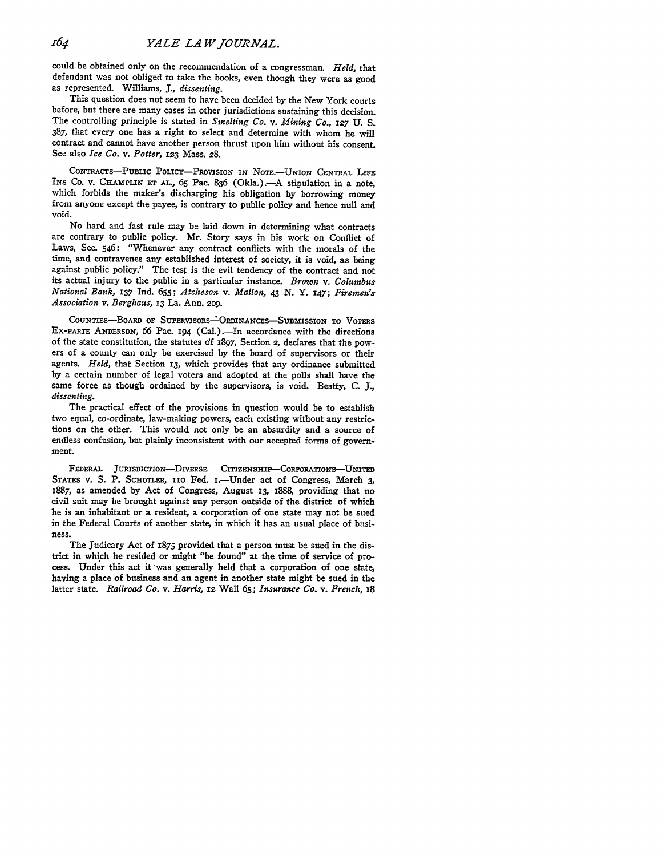could be obtained only on the recommendation of a congressman. *Held,* that defendant was not obliged to take the books, even though they were as good as represented. Williams, *J., dissenting.*

This question does not seem to have been decided **by** the New York courts before, but there are many cases in other jurisdictions sustaining this decision. The controlling principle is stated in *Smelting Co. v. Mining Co.,* **127 U. S. 387,** that every one has a right to select and determine with whom he will contract and cannot have another person thrust upon him without his consent. See also *Ice Co. v. Potter,* **123** Mass. **28.**

CoNTRAcTs-PUBLIc POLIcY-PRovisION IN **NoTE.-UNIoN CENTRAL** LIFE INS **Co. v.** CHAMPLIN **ET AL., 65** Pac. **836** (Okla.).-A stipulation in a note, which forbids the maker's discharging his obligation **by** borrowing money from anyone except the payee, is contrary to public policy and hence null and void.

No hard and fast rule may be laid down in determining what contracts are contrary to public policy. Mr. Story says in his work on Conflict **of** Laws, Sec. 546: "Whenever any contract conflicts with the morals of the time, and contravenes any established interest of society, it is void, as being against public policy." The test is the evil tendency of the contract and not its actual injury to the public in a particular instance. *Brown v. Columbus National Bank,* **137** Ind. **655;** *Atcheson v. Mallon,* 43 **N.** Y. **147;** *Firemen's Association v. Berghaus,* **13** La. Ann. **2o9.**

COUNTIES-BOARD **OF SUPERvISORS.Z-ORDINANCES-SSuBMISSION TO** VOTERS **EX-PARTE** ANDERSON, **66** Pac. **194** (Cal.).--In accordance with the directions of the state constitution, the statutes *df* **1897, Section 2,** declares that the powers of a county can only be exercised **by** the board of supervisors or their agents. *Held,* that Section **13,** which provides that any ordinance submitted **by** a certain number of legal voters and adopted at the polls shall have the same force as though ordained **by** the supervisors, is void. Beatty, **C.** *J., dissenting.*

The practical effect of the provisions in question would be to establish two equal, co-ordinate, law-making powers, each existing without any restrictions on the other. This would not only be an absurdity and a source of endless confusion, but plainly inconsistent with our accepted forms of government.

FEDERAL JURISDICTION-DIVERSE CITIZENSHIP-CORPORATIONS-UNITED STATES V. S. P. SCHOTLER, 110 Fed. 1.-Under act of Congress, March 3, **z887, as amended by** Act of Congress, August **13,** I888, **providing** that no **civil suit may** be brought against any person outside of the district of which he is an inhabitant or a resident, a corporation of one state may not be sued in the Federal Courts of another state, in which it has an usual place of business.

The Judicary Act of 1875 provided that a person must be sued in the district in which he resided or might "be found" at the time of service of process. Under this act it was generally held that a corporation of one state, having a place of business and an agent in another state might be sued in the latter state. *Railroad Co. v. Harris,* **12** Wall **65;** *Insurance Co. v. French,* **I8**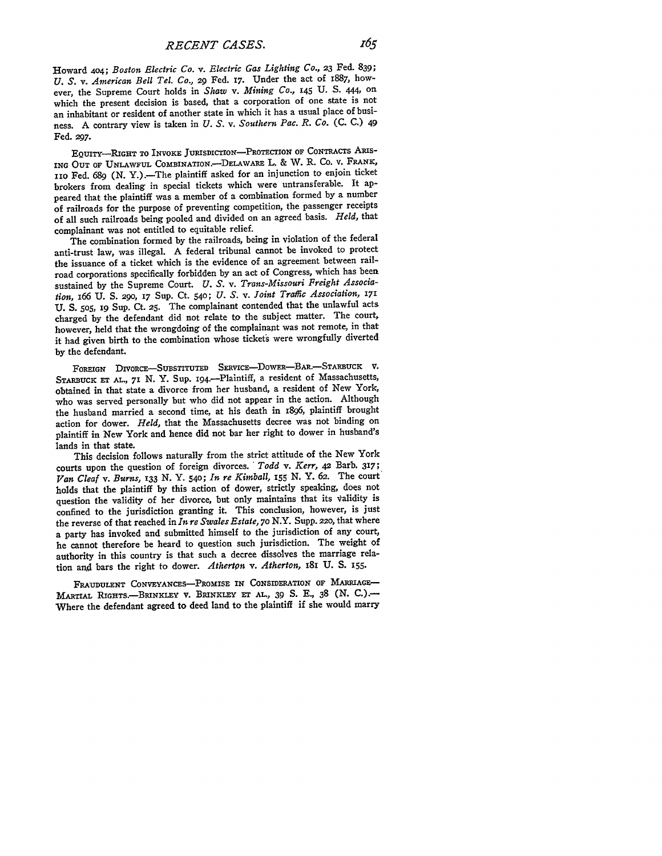Howard **404;** *Boston Electric Co. v. Electric Gas Lighting Co.,* **23** Fed. **839;** *U. S. v. American Bell Tel. Co.,* **29** Fed. 17. Under the act of 1887, however, the Supreme Court holds in *Shaw v. Mining Co.,* **145 U.** S. 444, **On** which the present decision is based, that a corporation of one state is not an inhabitant or resident of another state in which it has a usual place of business. A contrary view is taken in *U. S.* v. *Southern Pac. R. Co.* (C. C.) 49 Fed. **297.**

**EQUITY-RIGHT** TO **INVOKE JURISDICTION-PROTECTION OF** CONTRAcTS **ARIs-ING OUT** OF **UNLAWFUL** ComBINATION.-DELAWARE L. & W. R. Co. **v.** FRANK, *nio* Fed. 689 **(N.** Y.).-The plaintiff asked for an injunction to enjoin ticket brokers from dealing in special tickets which were untransferable. It appeared that the plaintiff was a member of a combination formed by a number of railroads for the purpose of preventing competition, the passenger receipts of all such railroads being pooled and divided on an agreed basis. *Held,* that complainant was not entitled to equitable relief.

The combination formed by the railroads, being in violation of the federal anti-trust law, was illegal. A federal tribunal cannot be invoked to protect the issuance of a ticket which is the evidence of an agreement between railroad corporations specifically forbidden by an act of Congress, which has been sustained by the Supreme Court. *U. S.* v. *Trans-Missouri Freight Association,* i66 U. **S.** 290, **17** Sup. Ct. 540; *U. S.* v. *Joint Traffic Association, 17i* **U. S. 505,** 19 Sup. Ct. **25.** The complainant contended that the unlawful acts charged by the defendant did not relate to the subject matter. The court, however, held that the wrongdoing of the complainant was not remote, in that it had given birth to the combination whose tickets were wrongfully diverted by the defendant.

**FOREIGN** DIVORcE-SuBsTITUTED SERvIcE-DowER-BAR.-STARBUcK v. STARBUCK ET AL., 71 N. Y. Sup. 194.--Plaintiff, a resident of Massachusetts, obtained in that state a divorce from her husband, a resident of New York, who was served personally but who did not appear in the action. Although the husband married a second time, at his death in 1896, plaintiff brought action for dower. *Held,* that the Massachusetts decree was not binding on plaintiff in New York and hence did not bar her right to dower in husband's lands in that state.

This decision follows naturally from the strict attitude of the New York courts upon the question of foreign divorces. *Todd v. Kerr, 42* Barb. 317; *Van Cleaf v. Burns,* **133** N. Y. 540; *In re Kimball, 155* N. Y. 62. The court holds that the plaintiff by this action of dower, strictly speaking, does not question the validity of her divorce, but only maintains that its validity is confined to the jurisdiction granting it. This conclusion, however, is just the reverse of that reached in *In re Swales Estate,* **70** N.Y. Supp. 22o, that where a party has invoked and submitted himself to the jurisdiction of any court, he cannot therefore be heard to question such jurisdiction. The weight of authority in this country is that such a decree dissolves the marriage relation and bars the right to dower. Atherton v. Atherton, 181 U. S. 155.

FRAUDULENT CONVEYANCES-PROMISE IN CONSIDERATION OF MARRIAGE-MARTIAL RIGHTS.-BRINKLEY V. **BRINKLEY ET AL., 39 S.** E., **38** (N. C.).- Where the defendant agreed to deed land to the plaintiff if she would marry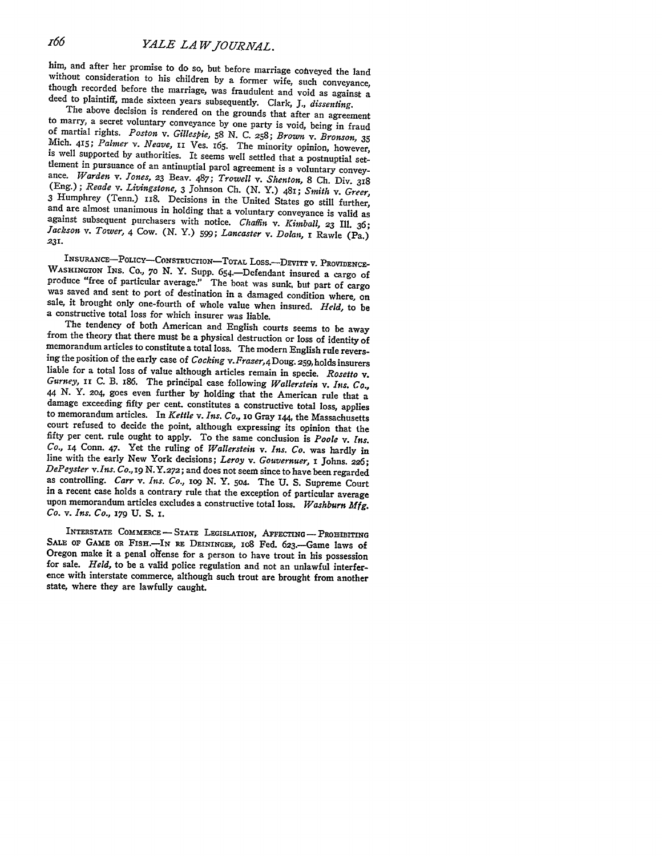him, and after her promise to do so, but before marriage conveyed the land<br>without consideration to his children by a former wife, such conveyance,<br>though recorded before the marriage, was fraudulent and void as against a<br>

Mich. 415; Palmer v. Neave, II Ves. 165. The minority opinion, however, is well supported by authorities. It seems well settled that a postnuptial settlement in pursuance of an antinuptial parol agreement is a voluntary convey-<br>ance. Warden v. Jones, 23 Beav. 487; Trowell v. Shenton, 8 Ch. Div. 318<br>(Eng.); Reade v. Livingstone, 3 Johnson Ch. (N. Y.) 481; Smith v. Greer *231.*

INSURANCE-POLICY-CONSTRUCTION-TOTAL LOSS.-DEVITT V. PROVIDENCE-WASHINGTON INS. Co., 70 N. Y. Supp. 654.-Defendant insured a cargo of produce "free of particular average." The boat was sunk, but part of cargo was saved and sent to port of destination in a damaged condition where, on sale, it brought only one-fourth of whole value when insured. *Held*, to

from the theory that there must be a physical destruction or loss of identity of memorandum articles to constitute a total loss. The modern English rule reversing the position of the early case of *Cocking* v. *Fraser*, 4 Gurney, II C. B. 186. The principal case following Wallerstein v. Ins. Co., 44 N. Y. 204, goes even further by holding that the American rule that a damage exceeding fifty per cent. constitutes a constructive total loss, court refused to decide the point, although expressing its opinion that the fifty per cent. rule ought to apply. To the same conclusion is *Poole v. Ins.* Co., 14 Conn. 47. Yet the ruling of *Wallerstein* v. Ins. Co. was hardly in line with the early New York decisions; Leroy v. Gouvernuer, 1 Johns. 226; DePeyster v. Ins. Co., 19 N. Y. 272; and does not seem since to have b in a recent case holds a contrary rule that the exception of particular average upon memorandum articles excludes a constructive total loss. *Washburn Mfg. Co. v. Ins. Co., 179* **U. S. I.**

**INTERSTATE** CoMMERcE - **STATE LEGISLATIoN, AFFECTING- PROH-IBITING** SALE OF GAME OR FISH.<sup>---IN</sup> RE DEININGER, 108 Fed. 623.---Game laws of Oregon make it a penal offense for a person to have trout in his possession<br>for sale. *Held*, to be a valid police regulation and not an unlawful interfer-<br>ence with interstate commerce, although such trout are brought fro state, where they are lawfully caught.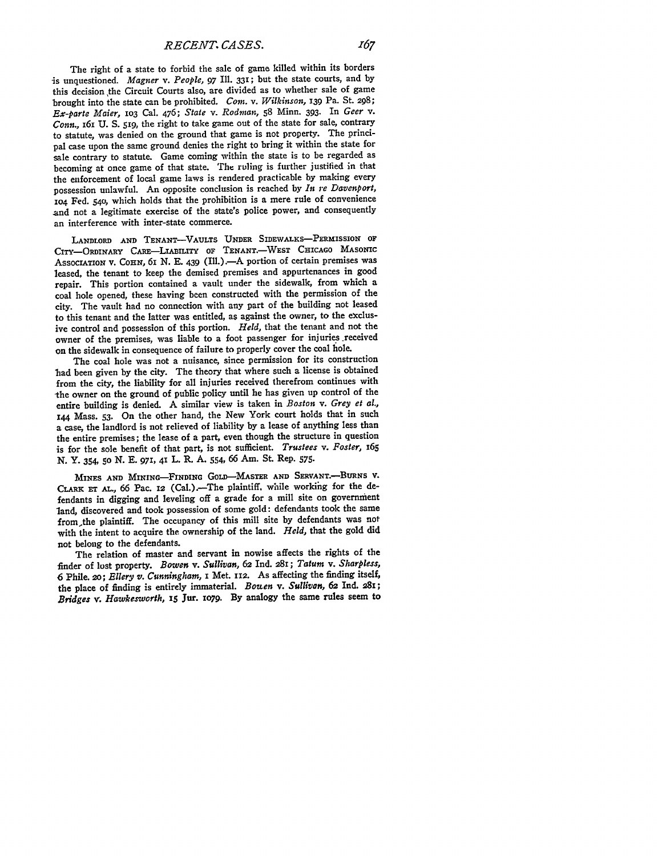The right of a state to forbid the sale of game killed within its borders is unquestioned. *Magner v. People,* 97 Ill. **331;** but the state courts, and **by** this decision the Circuit Courts also, are divided as to whether sale of game brought into the state can be prohibited. *Com. v. Wilkinson,* **139** Pa. St. **298;** *Ex-parte Maier,* **io3** Cal. 476; *State v. Rodman,* **58** Minn. **393.** In *Geer v. Conn.,* I6I **U. S.** *519,* the right to take game out of the state for sale, contrary to statute, was denied on the ground that game is not property. The principal case upon the same ground denies the right to bring it within the state for sale contrary to statute. Game coming within the state is to be regarded as becoming at once game of that state. The ruling is further justified in that the enforcement of local game laws is rendered practicable **by** making every possession unlawful. An opposite conclusion is reached **by** *In re Davenport,* **1o4 Fed. 54o,** which holds that the prohibition is a mere rule of convenience and not a legitimate exercise of the state's police power, and consequently an interference with inter-state commerce.

LANDLORD **AND TENANT-VAuLTS UNDER** SIDEWALKS-PERMISSION **OF** CITY-ORDINARY **CARE-LABILiTY OF TENANT.-WEST CHICAGO MASONIC** ASSOCIATION V. COHN, 6I N. E. 439 (Ill.). - A portion of certain premises was leased, the tenant to keep the demised premises and appurtenances in **good** repair. This portion contained a vault under the sidewalk, from which a coal hole opened, these having been constructed with the permission of the city. The vault had no connection with any part of the building not leased to this tenant and the latter was entitled, as against the owner, to the exclusive control and possession of this portion. *Held,* that the tenant and not the owner of the premises, was liable to a foot passenger for injuries .received on the sidewalk in consequence of failure to properly cover the coal hole.

The coal hole was not a nuisance, since permission for its construction had been given **by** the city. The theory that where such a license is obtained from the city, the liability for all injuries received therefrom continues with the owner on the ground of public policy until he has given up control of the entire building is denied. **A** similar view is taken in *Boston v. Grey et al.,* **<sup>144</sup>**Mass. **53.** On the other hand, the New York court holds that in such a case, the landlord is not relieved of liability **by** a lease of anything less than the entire premises; the lease of a part, even though the structure in question is for the sole benefit of that part, is not sufficient. *Trustees v. Foster, i65* **N. Y.** 354, **5o N. E. 971, 41** L. R. **A.** 554, 66 Am. St. Rep. **575.**

MINES **AND MINING-FINDING** GoLD--MASTER **AND** SERVANT.-BURNS **V.** CLARK **Er AL.,** 66 Pac. **12** (Cal.).-The plaintiff, while working for the defendants in digging and leveling off a grade for a mill site on government land, discovered and took possession of some gold: defendants took the same from the plaintiff. The occupancy of this mill site by defendants was not with the intent to acquire the ownership of the land. *Held,* that the gold did not belong to the defendants.

The relation of master and servant in nowise affects the rights of the finder of lost property. *Bow'en v. Sullivan,* **62** Ind. 281; *Tatum v. Sharpless,* 6 Phile. **2o;** *Ellery v. Cunningham,* I Met. **112.** As affecting the finding itself, the place of finding is entirely immaterial. *Boa en v. Sullivan,* **62** Ind. **281;** *Bridges v. Hawkesworth, z5* Jur. **io79. By** analogy the same rules seem to